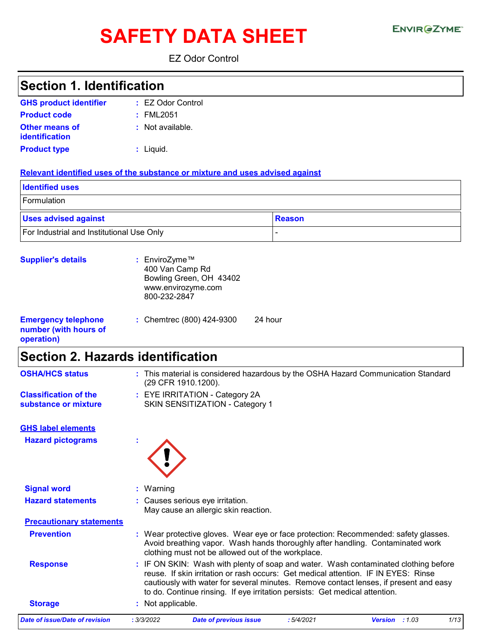# SAFETY DATA SHEET ENVIRGETMEN

EZ Odor Control

| <b>Section 1. Identification</b>                                              |                                                                                                   |                                                                             |               |                                                                                                                                                                                                                                                                    |      |
|-------------------------------------------------------------------------------|---------------------------------------------------------------------------------------------------|-----------------------------------------------------------------------------|---------------|--------------------------------------------------------------------------------------------------------------------------------------------------------------------------------------------------------------------------------------------------------------------|------|
| <b>GHS product identifier</b>                                                 | : EZ Odor Control                                                                                 |                                                                             |               |                                                                                                                                                                                                                                                                    |      |
| <b>Product code</b>                                                           | : FML2051                                                                                         |                                                                             |               |                                                                                                                                                                                                                                                                    |      |
| Other means of<br>identification                                              | : Not available.                                                                                  |                                                                             |               |                                                                                                                                                                                                                                                                    |      |
| <b>Product type</b>                                                           | : Liquid.                                                                                         |                                                                             |               |                                                                                                                                                                                                                                                                    |      |
| Relevant identified uses of the substance or mixture and uses advised against |                                                                                                   |                                                                             |               |                                                                                                                                                                                                                                                                    |      |
| <b>Identified uses</b>                                                        |                                                                                                   |                                                                             |               |                                                                                                                                                                                                                                                                    |      |
| Formulation                                                                   |                                                                                                   |                                                                             |               |                                                                                                                                                                                                                                                                    |      |
| <b>Uses advised against</b>                                                   |                                                                                                   |                                                                             | <b>Reason</b> |                                                                                                                                                                                                                                                                    |      |
| For Industrial and Institutional Use Only                                     |                                                                                                   |                                                                             |               |                                                                                                                                                                                                                                                                    |      |
| <b>Supplier's details</b>                                                     | : EnviroZyme™<br>400 Van Camp Rd<br>Bowling Green, OH 43402<br>www.envirozyme.com<br>800-232-2847 |                                                                             |               |                                                                                                                                                                                                                                                                    |      |
| <b>Emergency telephone</b><br>number (with hours of<br>operation)             | : Chemtrec (800) 424-9300                                                                         | 24 hour                                                                     |               |                                                                                                                                                                                                                                                                    |      |
| <b>Section 2. Hazards identification</b>                                      |                                                                                                   |                                                                             |               |                                                                                                                                                                                                                                                                    |      |
| <b>OSHA/HCS status</b>                                                        | (29 CFR 1910.1200).                                                                               |                                                                             |               | : This material is considered hazardous by the OSHA Hazard Communication Standard                                                                                                                                                                                  |      |
| <b>Classification of the</b><br>substance or mixture                          | : EYE IRRITATION - Category 2A                                                                    | SKIN SENSITIZATION - Category 1                                             |               |                                                                                                                                                                                                                                                                    |      |
| <b>GHS label elements</b>                                                     |                                                                                                   |                                                                             |               |                                                                                                                                                                                                                                                                    |      |
| <b>Hazard pictograms</b>                                                      |                                                                                                   |                                                                             |               |                                                                                                                                                                                                                                                                    |      |
| <b>Signal word</b>                                                            | Warning                                                                                           |                                                                             |               |                                                                                                                                                                                                                                                                    |      |
| <b>Hazard statements</b>                                                      | : Causes serious eye irritation.                                                                  | May cause an allergic skin reaction.                                        |               |                                                                                                                                                                                                                                                                    |      |
| <b>Precautionary statements</b>                                               |                                                                                                   |                                                                             |               |                                                                                                                                                                                                                                                                    |      |
| <b>Prevention</b>                                                             |                                                                                                   | clothing must not be allowed out of the workplace.                          |               | : Wear protective gloves. Wear eye or face protection: Recommended: safety glasses.<br>Avoid breathing vapor. Wash hands thoroughly after handling. Contaminated work                                                                                              |      |
| <b>Response</b>                                                               |                                                                                                   | to do. Continue rinsing. If eye irritation persists: Get medical attention. |               | : IF ON SKIN: Wash with plenty of soap and water. Wash contaminated clothing before<br>reuse. If skin irritation or rash occurs: Get medical attention. IF IN EYES: Rinse<br>cautiously with water for several minutes. Remove contact lenses, if present and easy |      |
| <b>Storage</b>                                                                | Not applicable.                                                                                   |                                                                             |               |                                                                                                                                                                                                                                                                    |      |
| <b>Date of issue/Date of revision</b>                                         | : 3/3/2022                                                                                        | <b>Date of previous issue</b>                                               | :5/4/2021     | Version : 1.03                                                                                                                                                                                                                                                     | 1/13 |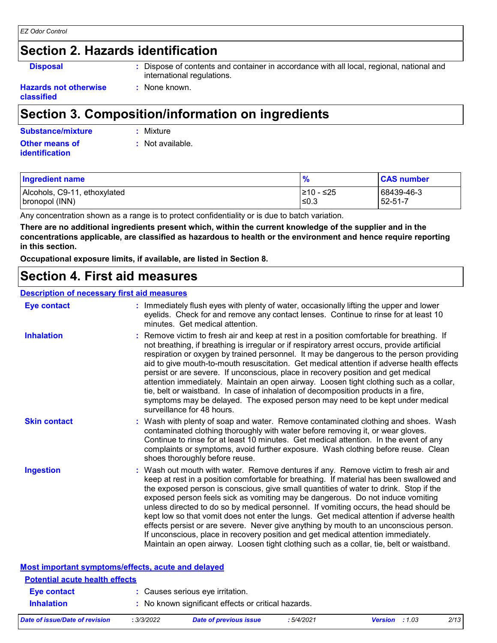### **Section 2. Hazards identification**

**Disposal <b>:** Dispose of contents and container in accordance with all local, regional, national and international regulations.

**Hazards not otherwise classified**

## **Section 3. Composition/information on ingredients**

**:** None known.

| <b>Substance/mixture</b> | : Mixture        |
|--------------------------|------------------|
| <b>Other means of</b>    | : Not available. |
| <b>identification</b>    |                  |

| <b>Ingredient name</b>       |            | <b>CAS number</b> |
|------------------------------|------------|-------------------|
| Alcohols, C9-11, ethoxylated | l≥10 - ≤25 | 68439-46-3        |
| bronopol (INN)               | ≤0.3       | $52 - 51 - 7$     |

Any concentration shown as a range is to protect confidentiality or is due to batch variation.

**There are no additional ingredients present which, within the current knowledge of the supplier and in the concentrations applicable, are classified as hazardous to health or the environment and hence require reporting in this section.**

**Occupational exposure limits, if available, are listed in Section 8.**

### **Section 4. First aid measures**

#### **Description of necessary first aid measures**

| <b>Eye contact</b>                                 | : Immediately flush eyes with plenty of water, occasionally lifting the upper and lower<br>eyelids. Check for and remove any contact lenses. Continue to rinse for at least 10<br>minutes. Get medical attention.                                                                                                                                                                                                                                                                                                                                                                                                                                                                                                                                                                                                         |  |  |  |
|----------------------------------------------------|---------------------------------------------------------------------------------------------------------------------------------------------------------------------------------------------------------------------------------------------------------------------------------------------------------------------------------------------------------------------------------------------------------------------------------------------------------------------------------------------------------------------------------------------------------------------------------------------------------------------------------------------------------------------------------------------------------------------------------------------------------------------------------------------------------------------------|--|--|--|
| <b>Inhalation</b>                                  | : Remove victim to fresh air and keep at rest in a position comfortable for breathing. If<br>not breathing, if breathing is irregular or if respiratory arrest occurs, provide artificial<br>respiration or oxygen by trained personnel. It may be dangerous to the person providing<br>aid to give mouth-to-mouth resuscitation. Get medical attention if adverse health effects<br>persist or are severe. If unconscious, place in recovery position and get medical<br>attention immediately. Maintain an open airway. Loosen tight clothing such as a collar,<br>tie, belt or waistband. In case of inhalation of decomposition products in a fire,<br>symptoms may be delayed. The exposed person may need to be kept under medical<br>surveillance for 48 hours.                                                    |  |  |  |
| <b>Skin contact</b>                                | : Wash with plenty of soap and water. Remove contaminated clothing and shoes. Wash<br>contaminated clothing thoroughly with water before removing it, or wear gloves.<br>Continue to rinse for at least 10 minutes. Get medical attention. In the event of any<br>complaints or symptoms, avoid further exposure. Wash clothing before reuse. Clean<br>shoes thoroughly before reuse.                                                                                                                                                                                                                                                                                                                                                                                                                                     |  |  |  |
| <b>Ingestion</b>                                   | : Wash out mouth with water. Remove dentures if any. Remove victim to fresh air and<br>keep at rest in a position comfortable for breathing. If material has been swallowed and<br>the exposed person is conscious, give small quantities of water to drink. Stop if the<br>exposed person feels sick as vomiting may be dangerous. Do not induce vomiting<br>unless directed to do so by medical personnel. If vomiting occurs, the head should be<br>kept low so that vomit does not enter the lungs. Get medical attention if adverse health<br>effects persist or are severe. Never give anything by mouth to an unconscious person.<br>If unconscious, place in recovery position and get medical attention immediately.<br>Maintain an open airway. Loosen tight clothing such as a collar, tie, belt or waistband. |  |  |  |
| Most important symptoms/effects, acute and delayed |                                                                                                                                                                                                                                                                                                                                                                                                                                                                                                                                                                                                                                                                                                                                                                                                                           |  |  |  |

| <b>Potential acute health effects</b> |            |                                                     |           |                       |      |
|---------------------------------------|------------|-----------------------------------------------------|-----------|-----------------------|------|
| <b>Eye contact</b>                    |            | : Causes serious eye irritation.                    |           |                       |      |
| <b>Inhalation</b>                     |            | : No known significant effects or critical hazards. |           |                       |      |
| Date of issue/Date of revision        | : 3/3/2022 | Date of previous issue                              | :5/4/2021 | <b>Version</b> : 1.03 | 2/13 |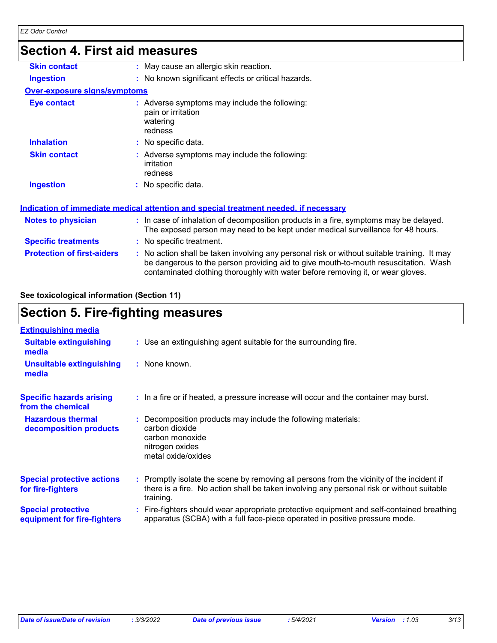### **Section 4. First aid measures**

| <b>Skin contact</b>                 | : May cause an allergic skin reaction.                                                                                                                                                                                                                                |
|-------------------------------------|-----------------------------------------------------------------------------------------------------------------------------------------------------------------------------------------------------------------------------------------------------------------------|
| <b>Ingestion</b>                    | : No known significant effects or critical hazards.                                                                                                                                                                                                                   |
| <b>Over-exposure signs/symptoms</b> |                                                                                                                                                                                                                                                                       |
| Eye contact                         | : Adverse symptoms may include the following:<br>pain or irritation<br>watering<br>redness                                                                                                                                                                            |
| <b>Inhalation</b>                   | : No specific data.                                                                                                                                                                                                                                                   |
| <b>Skin contact</b>                 | : Adverse symptoms may include the following:<br>irritation<br>redness                                                                                                                                                                                                |
| <b>Ingestion</b>                    | : No specific data.                                                                                                                                                                                                                                                   |
|                                     | Indication of immediate medical attention and special treatment needed, if necessary                                                                                                                                                                                  |
| <b>Notes to physician</b>           | : In case of inhalation of decomposition products in a fire, symptoms may be delayed.<br>The exposed person may need to be kept under medical surveillance for 48 hours.                                                                                              |
| <b>Specific treatments</b>          | : No specific treatment.                                                                                                                                                                                                                                              |
| <b>Protection of first-aiders</b>   | : No action shall be taken involving any personal risk or without suitable training. It may<br>be dangerous to the person providing aid to give mouth-to-mouth resuscitation. Wash<br>contaminated clothing thoroughly with water before removing it, or wear gloves. |

**See toxicological information (Section 11)**

### **Section 5. Fire-fighting measures**

| <b>Extinguishing media</b>                               |                                                                                                                                                                                                     |
|----------------------------------------------------------|-----------------------------------------------------------------------------------------------------------------------------------------------------------------------------------------------------|
| <b>Suitable extinguishing</b><br>media                   | : Use an extinguishing agent suitable for the surrounding fire.                                                                                                                                     |
| <b>Unsuitable extinguishing</b><br>media                 | : None known.                                                                                                                                                                                       |
| <b>Specific hazards arising</b><br>from the chemical     | : In a fire or if heated, a pressure increase will occur and the container may burst.                                                                                                               |
| <b>Hazardous thermal</b><br>decomposition products       | Decomposition products may include the following materials:<br>carbon dioxide<br>carbon monoxide<br>nitrogen oxides<br>metal oxide/oxides                                                           |
| <b>Special protective actions</b><br>for fire-fighters   | : Promptly isolate the scene by removing all persons from the vicinity of the incident if<br>there is a fire. No action shall be taken involving any personal risk or without suitable<br>training. |
| <b>Special protective</b><br>equipment for fire-fighters | Fire-fighters should wear appropriate protective equipment and self-contained breathing<br>apparatus (SCBA) with a full face-piece operated in positive pressure mode.                              |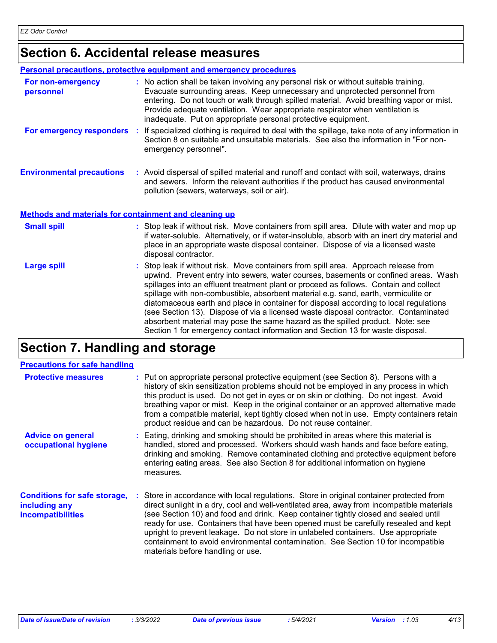### **Section 6. Accidental release measures**

|                                                              | <b>Personal precautions, protective equipment and emergency procedures</b>                                                                                                                                                                                                                                                                                                                                       |
|--------------------------------------------------------------|------------------------------------------------------------------------------------------------------------------------------------------------------------------------------------------------------------------------------------------------------------------------------------------------------------------------------------------------------------------------------------------------------------------|
| For non-emergency<br>personnel                               | : No action shall be taken involving any personal risk or without suitable training.<br>Evacuate surrounding areas. Keep unnecessary and unprotected personnel from<br>entering. Do not touch or walk through spilled material. Avoid breathing vapor or mist.<br>Provide adequate ventilation. Wear appropriate respirator when ventilation is<br>inadequate. Put on appropriate personal protective equipment. |
| For emergency responders                                     | : If specialized clothing is required to deal with the spillage, take note of any information in<br>Section 8 on suitable and unsuitable materials. See also the information in "For non-<br>emergency personnel".                                                                                                                                                                                               |
| <b>Environmental precautions</b>                             | : Avoid dispersal of spilled material and runoff and contact with soil, waterways, drains<br>and sewers. Inform the relevant authorities if the product has caused environmental<br>pollution (sewers, waterways, soil or air).                                                                                                                                                                                  |
| <b>Methods and materials for containment and cleaning up</b> |                                                                                                                                                                                                                                                                                                                                                                                                                  |
| <b>Small spill</b>                                           | : Stop leak if without risk. Move containers from spill area. Dilute with water and mop up<br>if water-soluble. Alternatively, or if water-insoluble, absorb with an inert dry material and<br>place in an appropriate waste disposal container. Dispose of via a licensed waste<br>disposal contractor.                                                                                                         |
| <b>Large spill</b>                                           | : Stop leak if without risk. Move containers from spill area. Approach release from<br>upwind. Prevent entry into sewers, water courses, basements or confined areas. Wash<br>spillages into an effluent treatment plant or proceed as follows. Contain and collect<br>spillage with non-combustible, absorbent material e.g. sand, earth, vermiculite or                                                        |

diatomaceous earth and place in container for disposal according to local regulations (see Section 13). Dispose of via a licensed waste disposal contractor. Contaminated absorbent material may pose the same hazard as the spilled product. Note: see Section 1 for emergency contact information and Section 13 for waste disposal.

### **Section 7. Handling and storage**

| <b>Precautions for safe handling</b>                                             |                                                                                                                                                                                                                                                                                                                                                                                                                                                                                                                                                                                    |
|----------------------------------------------------------------------------------|------------------------------------------------------------------------------------------------------------------------------------------------------------------------------------------------------------------------------------------------------------------------------------------------------------------------------------------------------------------------------------------------------------------------------------------------------------------------------------------------------------------------------------------------------------------------------------|
| <b>Protective measures</b>                                                       | : Put on appropriate personal protective equipment (see Section 8). Persons with a<br>history of skin sensitization problems should not be employed in any process in which<br>this product is used. Do not get in eyes or on skin or clothing. Do not ingest. Avoid<br>breathing vapor or mist. Keep in the original container or an approved alternative made<br>from a compatible material, kept tightly closed when not in use. Empty containers retain<br>product residue and can be hazardous. Do not reuse container.                                                       |
| <b>Advice on general</b><br>occupational hygiene                                 | : Eating, drinking and smoking should be prohibited in areas where this material is<br>handled, stored and processed. Workers should wash hands and face before eating,<br>drinking and smoking. Remove contaminated clothing and protective equipment before<br>entering eating areas. See also Section 8 for additional information on hygiene<br>measures.                                                                                                                                                                                                                      |
| <b>Conditions for safe storage,</b><br>including any<br><b>incompatibilities</b> | : Store in accordance with local regulations. Store in original container protected from<br>direct sunlight in a dry, cool and well-ventilated area, away from incompatible materials<br>(see Section 10) and food and drink. Keep container tightly closed and sealed until<br>ready for use. Containers that have been opened must be carefully resealed and kept<br>upright to prevent leakage. Do not store in unlabeled containers. Use appropriate<br>containment to avoid environmental contamination. See Section 10 for incompatible<br>materials before handling or use. |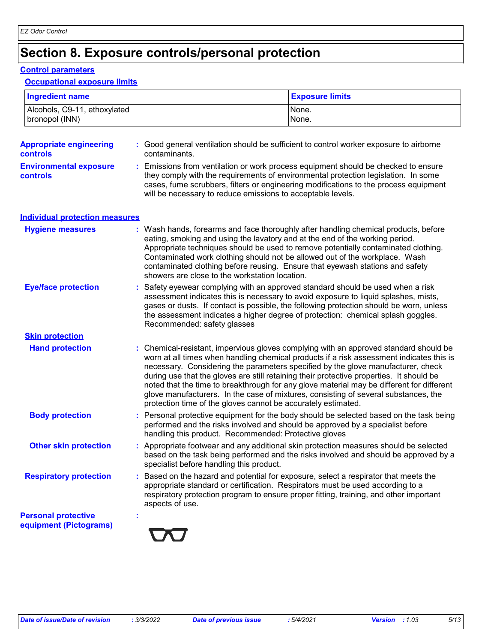### **Section 8. Exposure controls/personal protection**

#### **Control parameters**

#### **Occupational exposure limits**

| <b>Ingredient name</b>                               |                                                                                                                                                                                                                                                                                                                                                                                                                                                                             | <b>Exposure limits</b>                                                                                                                                                                                                                                                         |
|------------------------------------------------------|-----------------------------------------------------------------------------------------------------------------------------------------------------------------------------------------------------------------------------------------------------------------------------------------------------------------------------------------------------------------------------------------------------------------------------------------------------------------------------|--------------------------------------------------------------------------------------------------------------------------------------------------------------------------------------------------------------------------------------------------------------------------------|
| Alcohols, C9-11, ethoxylated<br>bronopol (INN)       |                                                                                                                                                                                                                                                                                                                                                                                                                                                                             | None.<br>None.                                                                                                                                                                                                                                                                 |
| <b>Appropriate engineering</b><br><b>controls</b>    | : Good general ventilation should be sufficient to control worker exposure to airborne<br>contaminants.                                                                                                                                                                                                                                                                                                                                                                     |                                                                                                                                                                                                                                                                                |
| <b>Environmental exposure</b><br><b>controls</b>     | : Emissions from ventilation or work process equipment should be checked to ensure<br>they comply with the requirements of environmental protection legislation. In some<br>will be necessary to reduce emissions to acceptable levels.                                                                                                                                                                                                                                     | cases, fume scrubbers, filters or engineering modifications to the process equipment                                                                                                                                                                                           |
| <b>Individual protection measures</b>                |                                                                                                                                                                                                                                                                                                                                                                                                                                                                             |                                                                                                                                                                                                                                                                                |
| <b>Hygiene measures</b>                              | : Wash hands, forearms and face thoroughly after handling chemical products, before<br>eating, smoking and using the lavatory and at the end of the working period.<br>Appropriate techniques should be used to remove potentially contaminated clothing.<br>Contaminated work clothing should not be allowed out of the workplace. Wash<br>contaminated clothing before reusing. Ensure that eyewash stations and safety<br>showers are close to the workstation location. |                                                                                                                                                                                                                                                                                |
| <b>Eye/face protection</b>                           | : Safety eyewear complying with an approved standard should be used when a risk<br>assessment indicates this is necessary to avoid exposure to liquid splashes, mists,<br>the assessment indicates a higher degree of protection: chemical splash goggles.<br>Recommended: safety glasses                                                                                                                                                                                   | gases or dusts. If contact is possible, the following protection should be worn, unless                                                                                                                                                                                        |
| <b>Skin protection</b>                               |                                                                                                                                                                                                                                                                                                                                                                                                                                                                             |                                                                                                                                                                                                                                                                                |
| <b>Hand protection</b>                               | necessary. Considering the parameters specified by the glove manufacturer, check<br>during use that the gloves are still retaining their protective properties. It should be<br>glove manufacturers. In the case of mixtures, consisting of several substances, the<br>protection time of the gloves cannot be accurately estimated.                                                                                                                                        | : Chemical-resistant, impervious gloves complying with an approved standard should be<br>worn at all times when handling chemical products if a risk assessment indicates this is<br>noted that the time to breakthrough for any glove material may be different for different |
| <b>Body protection</b>                               | performed and the risks involved and should be approved by a specialist before<br>handling this product. Recommended: Protective gloves                                                                                                                                                                                                                                                                                                                                     | : Personal protective equipment for the body should be selected based on the task being                                                                                                                                                                                        |
| <b>Other skin protection</b>                         | specialist before handling this product.                                                                                                                                                                                                                                                                                                                                                                                                                                    | : Appropriate footwear and any additional skin protection measures should be selected<br>based on the task being performed and the risks involved and should be approved by a                                                                                                  |
| <b>Respiratory protection</b>                        | : Based on the hazard and potential for exposure, select a respirator that meets the<br>appropriate standard or certification. Respirators must be used according to a<br>respiratory protection program to ensure proper fitting, training, and other important<br>aspects of use.                                                                                                                                                                                         |                                                                                                                                                                                                                                                                                |
| <b>Personal protective</b><br>equipment (Pictograms) |                                                                                                                                                                                                                                                                                                                                                                                                                                                                             |                                                                                                                                                                                                                                                                                |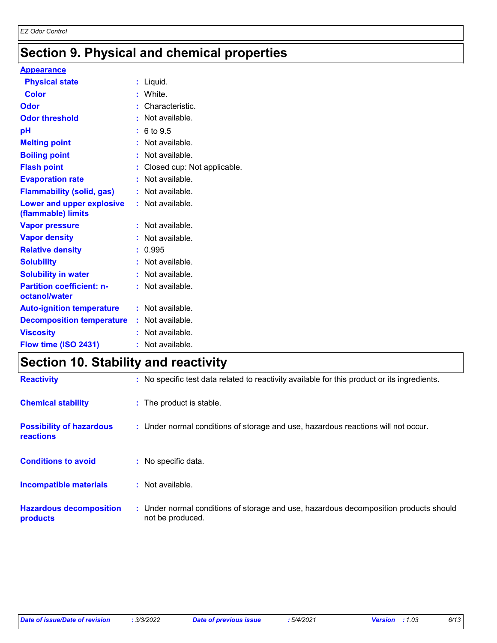### **Section 9. Physical and chemical properties**

#### **Appearance**

| <b>Physical state</b>                             | $:$ Liquid.                   |
|---------------------------------------------------|-------------------------------|
| <b>Color</b>                                      | : White.                      |
| Odor                                              | : Characteristic.             |
| <b>Odor threshold</b>                             | : Not available.              |
| pH                                                | : 6 to 9.5                    |
| <b>Melting point</b>                              | : Not available.              |
| <b>Boiling point</b>                              | : Not available.              |
| <b>Flash point</b>                                | : Closed cup: Not applicable. |
| <b>Evaporation rate</b>                           | : Not available.              |
| <b>Flammability (solid, gas)</b>                  | : Not available.              |
| Lower and upper explosive<br>(flammable) limits   | : Not available.              |
| <b>Vapor pressure</b>                             | : Not available.              |
| <b>Vapor density</b>                              | : Not available.              |
| <b>Relative density</b>                           | : 0.995                       |
| <b>Solubility</b>                                 | : Not available.              |
| <b>Solubility in water</b>                        | : Not available.              |
| <b>Partition coefficient: n-</b><br>octanol/water | : Not available.              |
| <b>Auto-ignition temperature</b>                  | : Not available.              |
| <b>Decomposition temperature</b>                  | : Not available.              |
| <b>Viscosity</b>                                  | : Not available.              |
| Flow time (ISO 2431)                              | : Not available.              |

### **Section 10. Stability and reactivity**

| <b>Reactivity</b>                            | : No specific test data related to reactivity available for this product or its ingredients.              |
|----------------------------------------------|-----------------------------------------------------------------------------------------------------------|
| <b>Chemical stability</b>                    | : The product is stable.                                                                                  |
| <b>Possibility of hazardous</b><br>reactions | : Under normal conditions of storage and use, hazardous reactions will not occur.                         |
| <b>Conditions to avoid</b>                   | : No specific data.                                                                                       |
| Incompatible materials                       | $:$ Not available.                                                                                        |
| <b>Hazardous decomposition</b><br>products   | : Under normal conditions of storage and use, hazardous decomposition products should<br>not be produced. |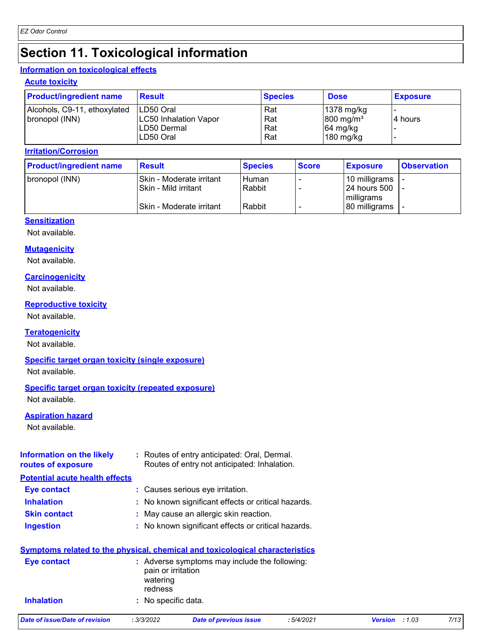### **Section 11. Toxicological information**

#### **Information on toxicological effects**

#### **Acute toxicity**

| <b>Product/ingredient name</b> | <b>Result</b>                | <b>Species</b> | <b>Dose</b>            | <b>Exposure</b> |
|--------------------------------|------------------------------|----------------|------------------------|-----------------|
| Alcohols, C9-11, ethoxylated   | ILD50 Oral                   | Rat            | $ 1378 \text{ mg/kg} $ |                 |
| bronopol (INN)                 | <b>LC50 Inhalation Vapor</b> | Rat            | $800 \text{ mg/m}^3$   | 14 hours        |
|                                | ILD50 Dermal                 | Rat            | $64$ mg/kg             |                 |
|                                | LD50 Oral                    | Rat            | $180$ mg/kg            |                 |

#### **Irritation/Corrosion**

| <b>Product/ingredient name</b> | <b>Result</b>              | <b>Species</b> | <b>Score</b> | <b>Exposure</b> | <b>Observation</b> |
|--------------------------------|----------------------------|----------------|--------------|-----------------|--------------------|
| bronopol (INN)                 | l Skin - Moderate irritant | Human          |              | 10 milligrams   |                    |
|                                | l Skin - Mild irritant     | Rabbit         |              | 124 hours 500   |                    |
|                                |                            |                |              | milligrams      |                    |
|                                | l Skin - Moderate irritant | Rabbit         |              | 80 milligrams   |                    |

#### **Sensitization**

Not available.

#### **Mutagenicity**

Not available.

#### **Carcinogenicity**

Not available.

#### **Reproductive toxicity**

Not available.

#### **Teratogenicity**

Not available.

#### **Specific target organ toxicity (single exposure)**

Not available.

#### **Specific target organ toxicity (repeated exposure)**

Not available.

#### **Aspiration hazard**

Not available.

| Information on the likely | : Routes of entry anticipated: Oral, Dermal. |
|---------------------------|----------------------------------------------|
| routes of exposure        | Routes of entry not anticipated: Inhalation. |
|                           |                                              |

#### **Potential acute health effects**

| : Causes serious eye irritation.<br><b>Eye contact</b> |  |
|--------------------------------------------------------|--|
|--------------------------------------------------------|--|

- **Inhalation :** No known significant effects or critical hazards.
- **Skin contact :** May cause an allergic skin reaction.
- **Ingestion :** No known significant effects or critical hazards.

|                   | <b>Symptoms related to the physical, chemical and toxicological characteristics</b>        |
|-------------------|--------------------------------------------------------------------------------------------|
| Eye contact       | : Adverse symptoms may include the following:<br>pain or irritation<br>watering<br>redness |
| <b>Inhalation</b> | : No specific data.                                                                        |

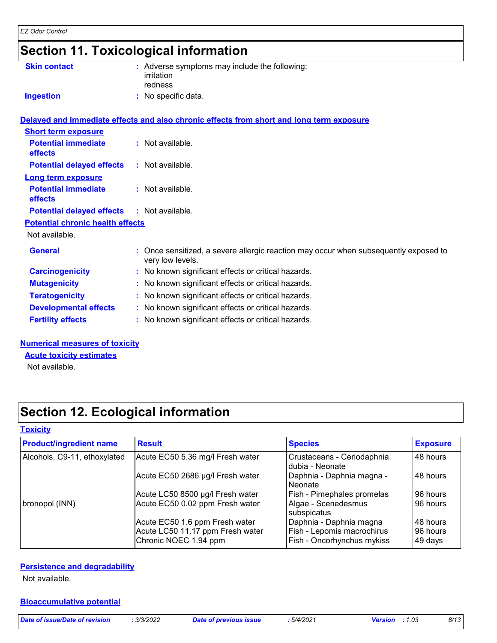### **Section 11. Toxicological information**

| <b>Skin contact</b>                          | : Adverse symptoms may include the following:<br>irritation<br>redness                                 |
|----------------------------------------------|--------------------------------------------------------------------------------------------------------|
| <b>Ingestion</b>                             | : No specific data.                                                                                    |
|                                              | Delayed and immediate effects and also chronic effects from short and long term exposure               |
| <b>Short term exposure</b>                   |                                                                                                        |
| <b>Potential immediate</b><br><b>effects</b> | : Not available.                                                                                       |
| <b>Potential delayed effects</b>             | : Not available.                                                                                       |
| Long term exposure                           |                                                                                                        |
| <b>Potential immediate</b><br><b>effects</b> | : Not available.                                                                                       |
| <b>Potential delayed effects</b>             | $:$ Not available.                                                                                     |
| <b>Potential chronic health effects</b>      |                                                                                                        |
| Not available.                               |                                                                                                        |
| <b>General</b>                               | Once sensitized, a severe allergic reaction may occur when subsequently exposed to<br>very low levels. |
| <b>Carcinogenicity</b>                       | : No known significant effects or critical hazards.                                                    |
| <b>Mutagenicity</b>                          | : No known significant effects or critical hazards.                                                    |
| <b>Teratogenicity</b>                        | : No known significant effects or critical hazards.                                                    |
| <b>Developmental effects</b>                 | : No known significant effects or critical hazards.                                                    |
| <b>Fertility effects</b>                     | No known significant effects or critical hazards.                                                      |
|                                              |                                                                                                        |

#### **Numerical measures of toxicity**

#### **Acute toxicity estimates**

Not available.

### **Section 12. Ecological information**

#### **Toxicity**

| <b>Product/ingredient name</b> | <b>Result</b>                                                                               | <b>Species</b>                                                                      | <b>Exposure</b>                 |
|--------------------------------|---------------------------------------------------------------------------------------------|-------------------------------------------------------------------------------------|---------------------------------|
| Alcohols, C9-11, ethoxylated   | Acute EC50 5.36 mg/l Fresh water                                                            | Crustaceans - Ceriodaphnia<br>dubia - Neonate                                       | 48 hours                        |
|                                | Acute EC50 2686 µg/l Fresh water                                                            | Daphnia - Daphnia magna -<br>Neonate                                                | 48 hours                        |
|                                | Acute LC50 8500 µg/l Fresh water                                                            | Fish - Pimephales promelas                                                          | 96 hours                        |
| bronopol (INN)                 | Acute EC50 0.02 ppm Fresh water                                                             | Algae - Scenedesmus<br>subspicatus                                                  | 96 hours                        |
|                                | Acute EC50 1.6 ppm Fresh water<br>Acute LC50 11.17 ppm Fresh water<br>Chronic NOEC 1.94 ppm | Daphnia - Daphnia magna<br>Fish - Lepomis macrochirus<br>Fish - Oncorhynchus mykiss | 48 hours<br>96 hours<br>49 days |

#### **Persistence and degradability**

Not available.

#### **Bioaccumulative potential**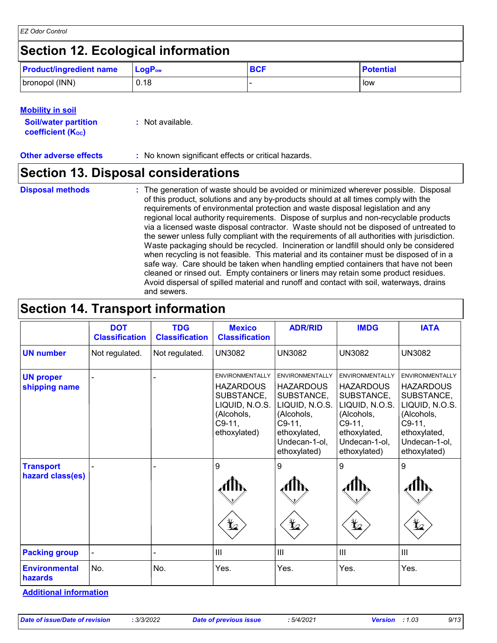### **Section 12. Ecological information**

| <b>Product/ingredient name</b> | $LogPow$ | <b>BCF</b> | <b>Potential</b> |
|--------------------------------|----------|------------|------------------|
| bronopol (INN)                 | 0.18     |            | low              |

#### **Mobility in soil**

| <b>Soil/water partition</b>    | $:$ Not available. |
|--------------------------------|--------------------|
| coefficient (K <sub>oc</sub> ) |                    |

**Other adverse effects** : No known significant effects or critical hazards.

### **Section 13. Disposal considerations**

- **Disposal methods :**
- The generation of waste should be avoided or minimized wherever possible. Disposal of this product, solutions and any by-products should at all times comply with the requirements of environmental protection and waste disposal legislation and any regional local authority requirements. Dispose of surplus and non-recyclable products via a licensed waste disposal contractor. Waste should not be disposed of untreated to the sewer unless fully compliant with the requirements of all authorities with jurisdiction. Waste packaging should be recycled. Incineration or landfill should only be considered when recycling is not feasible. This material and its container must be disposed of in a safe way. Care should be taken when handling emptied containers that have not been cleaned or rinsed out. Empty containers or liners may retain some product residues. Avoid dispersal of spilled material and runoff and contact with soil, waterways, drains and sewers.

### **Section 14. Transport information**

|                                        | <b>DOT</b><br><b>Classification</b> | <b>TDG</b><br><b>Classification</b> | <b>Mexico</b><br><b>Classification</b>                                                                               | <b>ADR/RID</b>                                                                                                                                        | <b>IMDG</b>                                                                                                                                           | <b>IATA</b>                                                                                                                                           |
|----------------------------------------|-------------------------------------|-------------------------------------|----------------------------------------------------------------------------------------------------------------------|-------------------------------------------------------------------------------------------------------------------------------------------------------|-------------------------------------------------------------------------------------------------------------------------------------------------------|-------------------------------------------------------------------------------------------------------------------------------------------------------|
| <b>UN number</b>                       | Not regulated.                      | Not regulated.                      | <b>UN3082</b>                                                                                                        | <b>UN3082</b>                                                                                                                                         | <b>UN3082</b>                                                                                                                                         | <b>UN3082</b>                                                                                                                                         |
| <b>UN proper</b><br>shipping name      |                                     |                                     | <b>ENVIRONMENTALLY</b><br><b>HAZARDOUS</b><br>SUBSTANCE,<br>LIQUID, N.O.S.<br>(Alcohols,<br>$C9-11,$<br>ethoxylated) | <b>ENVIRONMENTALLY</b><br><b>HAZARDOUS</b><br>SUBSTANCE,<br>LIQUID, N.O.S.<br>(Alcohols,<br>$C9-11,$<br>ethoxylated,<br>Undecan-1-ol,<br>ethoxylated) | <b>ENVIRONMENTALLY</b><br><b>HAZARDOUS</b><br>SUBSTANCE,<br>LIQUID, N.O.S.<br>(Alcohols,<br>$C9-11,$<br>ethoxylated,<br>Undecan-1-ol,<br>ethoxylated) | <b>ENVIRONMENTALLY</b><br><b>HAZARDOUS</b><br>SUBSTANCE,<br>LIQUID, N.O.S.<br>(Alcohols,<br>$C9-11,$<br>ethoxylated,<br>Undecan-1-ol,<br>ethoxylated) |
| <b>Transport</b><br>hazard class(es)   |                                     |                                     | 9<br>$\bigstar_{2}$                                                                                                  | 9<br>م¥                                                                                                                                               | $\boldsymbol{9}$<br>₩                                                                                                                                 | 9<br>$\bigstar$                                                                                                                                       |
| <b>Packing group</b>                   |                                     |                                     | III                                                                                                                  | $\mathbf{III}$                                                                                                                                        | $\mathbf{III}$                                                                                                                                        | $\mathbf{III}$                                                                                                                                        |
| <b>Environmental</b><br><b>hazards</b> | No.                                 | No.                                 | Yes.                                                                                                                 | Yes.                                                                                                                                                  | Yes.                                                                                                                                                  | Yes.                                                                                                                                                  |

**Additional information**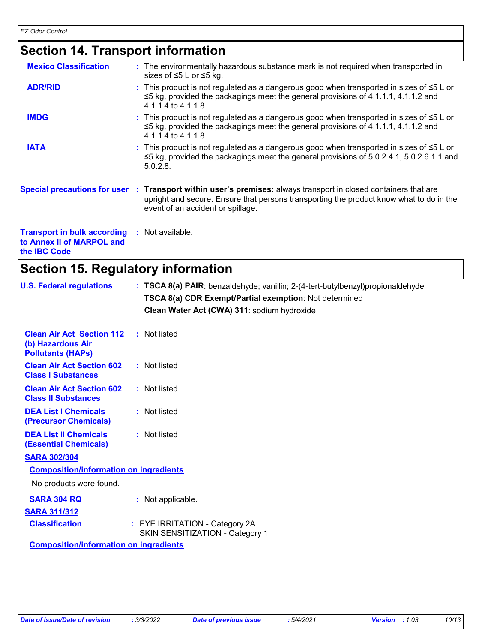## **Section 14. Transport information**

| <b>Mexico Classification</b>                                                    | : The environmentally hazardous substance mark is not required when transported in<br>sizes of ≤5 L or ≤5 kg.                                                                                                                                   |
|---------------------------------------------------------------------------------|-------------------------------------------------------------------------------------------------------------------------------------------------------------------------------------------------------------------------------------------------|
| <b>ADR/RID</b>                                                                  | : This product is not regulated as a dangerous good when transported in sizes of $\leq 5$ L or<br>$\leq$ 5 kg, provided the packagings meet the general provisions of 4.1.1.1, 4.1.1.2 and<br>4.1.1.4 to 4.1.1.8.                               |
| <b>IMDG</b>                                                                     | : This product is not regulated as a dangerous good when transported in sizes of $\leq 5$ L or<br>$\leq$ 5 kg, provided the packagings meet the general provisions of 4.1.1.1, 4.1.1.2 and<br>$4.1.1.4$ to $4.1.1.8$ .                          |
| <b>IATA</b>                                                                     | : This product is not regulated as a dangerous good when transported in sizes of $\leq 5$ L or<br>$\leq$ 5 kg, provided the packagings meet the general provisions of 5.0.2.4.1, 5.0.2.6.1.1 and<br>5.0.2.8                                     |
|                                                                                 | Special precautions for user : Transport within user's premises: always transport in closed containers that are<br>upright and secure. Ensure that persons transporting the product know what to do in the<br>event of an accident or spillage. |
| <b>Transport in bulk according</b><br>to Annex II of MARPOL and<br>the IBC Code | : Not available.                                                                                                                                                                                                                                |

### **Section 15. Regulatory information**

| <b>U.S. Federal regulations</b>                                                   | : TSCA 8(a) PAIR: benzaldehyde; vanillin; 2-(4-tert-butylbenzyl)propionaldehyde<br>TSCA 8(a) CDR Exempt/Partial exemption: Not determined<br>Clean Water Act (CWA) 311: sodium hydroxide |
|-----------------------------------------------------------------------------------|------------------------------------------------------------------------------------------------------------------------------------------------------------------------------------------|
| <b>Clean Air Act Section 112</b><br>(b) Hazardous Air<br><b>Pollutants (HAPS)</b> | : Not listed                                                                                                                                                                             |
| <b>Clean Air Act Section 602</b><br><b>Class I Substances</b>                     | : Not listed                                                                                                                                                                             |
| <b>Clean Air Act Section 602</b><br><b>Class II Substances</b>                    | : Not listed                                                                                                                                                                             |
| <b>DEA List I Chemicals</b><br>(Precursor Chemicals)                              | : Not listed                                                                                                                                                                             |
| <b>DEA List II Chemicals</b><br><b>(Essential Chemicals)</b>                      | : Not listed                                                                                                                                                                             |
| <b>SARA 302/304</b>                                                               |                                                                                                                                                                                          |
| <b>Composition/information on ingredients</b>                                     |                                                                                                                                                                                          |
| No products were found.                                                           |                                                                                                                                                                                          |
| <b>SARA 304 RQ</b>                                                                | : Not applicable.                                                                                                                                                                        |
| <b>SARA 311/312</b>                                                               |                                                                                                                                                                                          |
| <b>Classification</b>                                                             | : EYE IRRITATION - Category 2A<br>SKIN SENSITIZATION - Category 1                                                                                                                        |
| <b>Composition/information on ingredients</b>                                     |                                                                                                                                                                                          |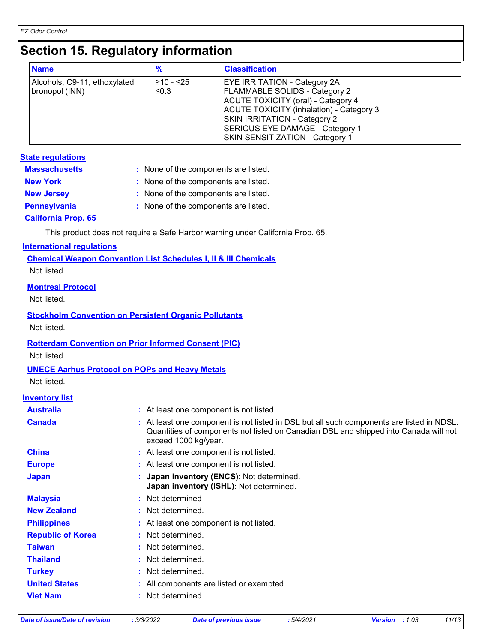### **Section 15. Regulatory information**

| <b>Name</b>                                    | $\frac{9}{6}$     | <b>Classification</b>                                                                                                                                                                                                                                               |
|------------------------------------------------|-------------------|---------------------------------------------------------------------------------------------------------------------------------------------------------------------------------------------------------------------------------------------------------------------|
| Alcohols, C9-11, ethoxylated<br>bronopol (INN) | 210 - ≤25<br>≤0.3 | <b>EYE IRRITATION - Category 2A</b><br><b>FLAMMABLE SOLIDS - Category 2</b><br>ACUTE TOXICITY (oral) - Category 4<br>ACUTE TOXICITY (inhalation) - Category 3<br>SKIN IRRITATION - Category 2<br>SERIOUS EYE DAMAGE - Category 1<br>SKIN SENSITIZATION - Category 1 |

#### **State regulations**

| <b>Massachusetts</b>       | : None of the components are listed. |
|----------------------------|--------------------------------------|
| <b>New York</b>            | : None of the components are listed. |
| <b>New Jersey</b>          | : None of the components are listed. |
| <b>Pennsylvania</b>        | : None of the components are listed. |
| <b>California Prop. 65</b> |                                      |

This product does not require a Safe Harbor warning under California Prop. 65.

#### **International regulations**

**Chemical Weapon Convention List Schedules I, II & III Chemicals** Not listed.

#### **Montreal Protocol**

Not listed.

#### **Stockholm Convention on Persistent Organic Pollutants** Not listed.

#### **Rotterdam Convention on Prior Informed Consent (PIC)**

Not listed.

#### **UNECE Aarhus Protocol on POPs and Heavy Metals**

Not listed.

#### **Inventory list**

| <b>Australia</b>         | : At least one component is not listed.                                                                                                                                                                   |
|--------------------------|-----------------------------------------------------------------------------------------------------------------------------------------------------------------------------------------------------------|
| <b>Canada</b>            | : At least one component is not listed in DSL but all such components are listed in NDSL.<br>Quantities of components not listed on Canadian DSL and shipped into Canada will not<br>exceed 1000 kg/year. |
| <b>China</b>             | : At least one component is not listed.                                                                                                                                                                   |
| <b>Europe</b>            | : At least one component is not listed.                                                                                                                                                                   |
| <b>Japan</b>             | : Japan inventory (ENCS): Not determined.<br>Japan inventory (ISHL): Not determined.                                                                                                                      |
| <b>Malaysia</b>          | : Not determined                                                                                                                                                                                          |
| <b>New Zealand</b>       | : Not determined.                                                                                                                                                                                         |
| <b>Philippines</b>       | : At least one component is not listed.                                                                                                                                                                   |
| <b>Republic of Korea</b> | : Not determined.                                                                                                                                                                                         |
| <b>Taiwan</b>            | : Not determined.                                                                                                                                                                                         |
| Thailand                 | : Not determined.                                                                                                                                                                                         |
| <b>Turkey</b>            | : Not determined.                                                                                                                                                                                         |
| <b>United States</b>     | : All components are listed or exempted.                                                                                                                                                                  |
| <b>Viet Nam</b>          | : Not determined.                                                                                                                                                                                         |

*Date of issue/Date of revision* **:** *3/3/2022 Date of previous issue : 5/4/2021 Version : 1.03 11/13*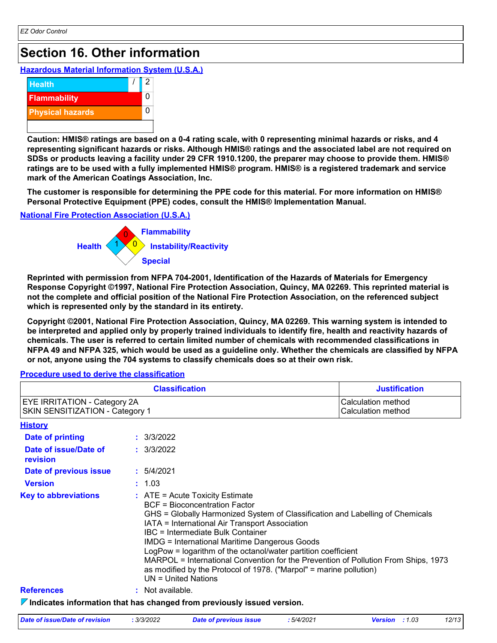### **Section 16. Other information**

**Hazardous Material Information System (U.S.A.)**



**Caution: HMIS® ratings are based on a 0-4 rating scale, with 0 representing minimal hazards or risks, and 4 representing significant hazards or risks. Although HMIS® ratings and the associated label are not required on SDSs or products leaving a facility under 29 CFR 1910.1200, the preparer may choose to provide them. HMIS® ratings are to be used with a fully implemented HMIS® program. HMIS® is a registered trademark and service mark of the American Coatings Association, Inc.**

**The customer is responsible for determining the PPE code for this material. For more information on HMIS® Personal Protective Equipment (PPE) codes, consult the HMIS® Implementation Manual.**

#### **National Fire Protection Association (U.S.A.)**



**Reprinted with permission from NFPA 704-2001, Identification of the Hazards of Materials for Emergency Response Copyright ©1997, National Fire Protection Association, Quincy, MA 02269. This reprinted material is not the complete and official position of the National Fire Protection Association, on the referenced subject which is represented only by the standard in its entirety.**

**Copyright ©2001, National Fire Protection Association, Quincy, MA 02269. This warning system is intended to be interpreted and applied only by properly trained individuals to identify fire, health and reactivity hazards of chemicals. The user is referred to certain limited number of chemicals with recommended classifications in NFPA 49 and NFPA 325, which would be used as a guideline only. Whether the chemicals are classified by NFPA or not, anyone using the 704 systems to classify chemicals does so at their own risk.**

#### **Procedure used to derive the classification**

|                                                                        | <b>Justification</b>                                                                                                                                                                                                                                                                                                                                                                                                                                                                                                                                            |                                          |  |  |
|------------------------------------------------------------------------|-----------------------------------------------------------------------------------------------------------------------------------------------------------------------------------------------------------------------------------------------------------------------------------------------------------------------------------------------------------------------------------------------------------------------------------------------------------------------------------------------------------------------------------------------------------------|------------------------------------------|--|--|
| <b>EYE IRRITATION - Category 2A</b><br>SKIN SENSITIZATION - Category 1 |                                                                                                                                                                                                                                                                                                                                                                                                                                                                                                                                                                 | Calculation method<br>Calculation method |  |  |
| <b>History</b>                                                         |                                                                                                                                                                                                                                                                                                                                                                                                                                                                                                                                                                 |                                          |  |  |
| Date of printing                                                       | : 3/3/2022                                                                                                                                                                                                                                                                                                                                                                                                                                                                                                                                                      |                                          |  |  |
| Date of issue/Date of<br>revision                                      | : 3/3/2022                                                                                                                                                                                                                                                                                                                                                                                                                                                                                                                                                      |                                          |  |  |
| Date of previous issue                                                 | : 5/4/2021                                                                                                                                                                                                                                                                                                                                                                                                                                                                                                                                                      |                                          |  |  |
| <b>Version</b>                                                         | : 1.03                                                                                                                                                                                                                                                                                                                                                                                                                                                                                                                                                          |                                          |  |  |
| <b>Key to abbreviations</b>                                            | $:$ ATE = Acute Toxicity Estimate<br><b>BCF</b> = Bioconcentration Factor<br>GHS = Globally Harmonized System of Classification and Labelling of Chemicals<br>IATA = International Air Transport Association<br>IBC = Intermediate Bulk Container<br><b>IMDG = International Maritime Dangerous Goods</b><br>LogPow = logarithm of the octanol/water partition coefficient<br>MARPOL = International Convention for the Prevention of Pollution From Ships, 1973<br>as modified by the Protocol of 1978. ("Marpol" = marine pollution)<br>$UN = United Nations$ |                                          |  |  |
| <b>References</b>                                                      | : Not available.                                                                                                                                                                                                                                                                                                                                                                                                                                                                                                                                                |                                          |  |  |
|                                                                        | $\triangledown$ Indicates information that has changed from previously issued version.                                                                                                                                                                                                                                                                                                                                                                                                                                                                          |                                          |  |  |